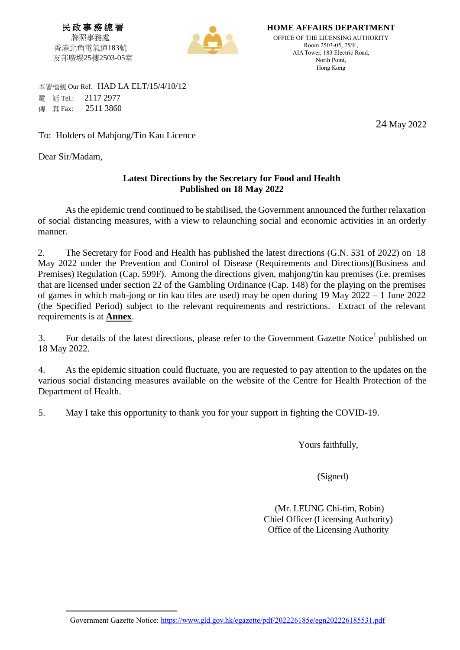民 政 事 務 總 署 牌照事務處 香港北角電氣道183號 友邦廣場25樓2503-05室



**HOME AFFAIRS DEPARTMENT** OFFICE OF THE LICENSING AUTHORITY Room 2503-05, 25/F., AIA Tower, 183 Electric Road, North Point, Hong Kong

 本署檔號 Our Ref. HAD LA ELT/15/4/10/12 電 話 Tel.: 2117 2977 **傳 直 Fax: 2511 3860** 

To: Holders of Mahjong/Tin Kau Licence

Dear Sir/Madam,

 $\overline{a}$ 

## **Latest Directions by the Secretary for Food and Health Published on 18 May 2022**

As the epidemic trend continued to be stabilised, the Government announced the further relaxation of social distancing measures, with a view to relaunching social and economic activities in an orderly manner.

2. The Secretary for Food and Health has published the latest directions (G.N. 531 of 2022) on 18 May 2022 under the Prevention and Control of Disease (Requirements and Directions)(Business and Premises) Regulation (Cap. 599F). Among the directions given, mahjong/tin kau premises (i.e. premises that are licensed under section 22 of the Gambling Ordinance (Cap. 148) for the playing on the premises of games in which mah-jong or tin kau tiles are used) may be open during 19 May 2022 – 1 June 2022 (the Specified Period) subject to the relevant requirements and restrictions. Extract of the relevant requirements is at **Annex**.

3. For details of the latest directions, please refer to the Government Gazette Notice<sup>1</sup> published on 18 May 2022.

4. As the epidemic situation could fluctuate, you are requested to pay attention to the updates on the various social distancing measures available on the website of the Centre for Health Protection of the Department of Health.

5. May I take this opportunity to thank you for your support in fighting the COVID-19.

Yours faithfully,

(Signed)

(Mr. LEUNG Chi-tim, Robin) Chief Officer (Licensing Authority) Office of the Licensing Authority

24 May 2022

<sup>&</sup>lt;sup>1</sup> Government Gazette Notice: https://www.gld.gov.hk/egazette/pdf/202226185e/egn202226185531.pdf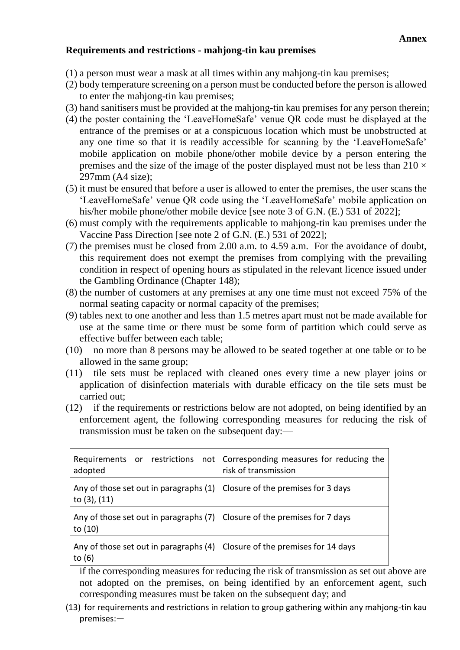## **Requirements and restrictions - mahjong-tin kau premises**

- (1) a person must wear a mask at all times within any mahjong-tin kau premises;
- (2) body temperature screening on a person must be conducted before the person is allowed to enter the mahjong-tin kau premises;
- (3) hand sanitisers must be provided at the mahjong-tin kau premises for any person therein;
- (4) the poster containing the 'LeaveHomeSafe' venue QR code must be displayed at the entrance of the premises or at a conspicuous location which must be unobstructed at any one time so that it is readily accessible for scanning by the 'LeaveHomeSafe' mobile application on mobile phone/other mobile device by a person entering the premises and the size of the image of the poster displayed must not be less than  $210 \times$ 297mm (A4 size);
- (5) it must be ensured that before a user is allowed to enter the premises, the user scans the 'LeaveHomeSafe' venue QR code using the 'LeaveHomeSafe' mobile application on his/her mobile phone/other mobile device [see note 3 of G.N. (E.) 531 of 2022];
- (6) must comply with the requirements applicable to mahjong-tin kau premises under the Vaccine Pass Direction [see note 2 of G.N. (E.) 531 of 2022];
- (7) the premises must be closed from 2.00 a.m. to 4.59 a.m. For the avoidance of doubt, this requirement does not exempt the premises from complying with the prevailing condition in respect of opening hours as stipulated in the relevant licence issued under the Gambling Ordinance (Chapter 148);
- (8) the number of customers at any premises at any one time must not exceed 75% of the normal seating capacity or normal capacity of the premises;
- (9) tables next to one another and less than 1.5 metres apart must not be made available for use at the same time or there must be some form of partition which could serve as effective buffer between each table;
- (10) no more than 8 persons may be allowed to be seated together at one table or to be allowed in the same group;
- (11) tile sets must be replaced with cleaned ones every time a new player joins or application of disinfection materials with durable efficacy on the tile sets must be carried out;
- (12) if the requirements or restrictions below are not adopted, on being identified by an enforcement agent, the following corresponding measures for reducing the risk of transmission must be taken on the subsequent day:—

| adopted                                                                                          | Requirements or restrictions not   Corresponding measures for reducing the<br>risk of transmission |
|--------------------------------------------------------------------------------------------------|----------------------------------------------------------------------------------------------------|
| Any of those set out in paragraphs $(1)$ Closure of the premises for 3 days<br>to $(3)$ , $(11)$ |                                                                                                    |
| Any of those set out in paragraphs (7) $\vert$ Closure of the premises for 7 days<br>to (10)     |                                                                                                    |
| Any of those set out in paragraphs (4)<br>to (6)                                                 | Closure of the premises for 14 days                                                                |

if the corresponding measures for reducing the risk of transmission as set out above are not adopted on the premises, on being identified by an enforcement agent, such corresponding measures must be taken on the subsequent day; and

(13) for requirements and restrictions in relation to group gathering within any mahjong-tin kau premises:—